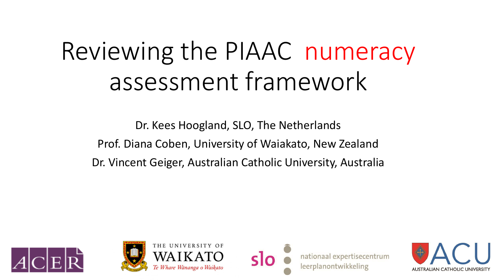# Reviewing the PIAAC numeracy assessment framework

Dr. Kees Hoogland, SLO, The Netherlands Prof. Diana Coben, University of Waiakato, New Zealand Dr. Vincent Geiger, Australian Catholic University, Australia





THE UNIVERSITY OF Whare Wānanga o Waikato



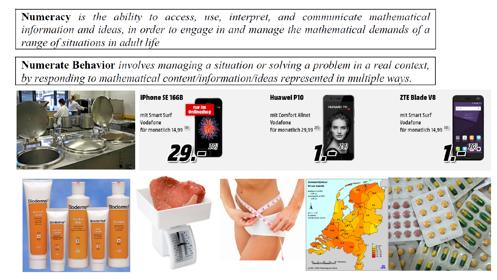**Numeracy** is the ability to access, use, interpret, and communicate mathematical information and ideas, in order to engage in and manage the mathematical demands of a range of situations in adult life

Numerate Behavior involves managing a situation or solving a problem in a real context, by responding to mathematical content/information/ideas represented in multiple ways.





#### Huawei P10

mit Comfort Allnet Vodafone für monatlich 29,99<sup>28)</sup>



**HUAWEL** 

#### **ZTE Blade V8**

mit Smart Surf Vodafone für monatlich 14,99 30)











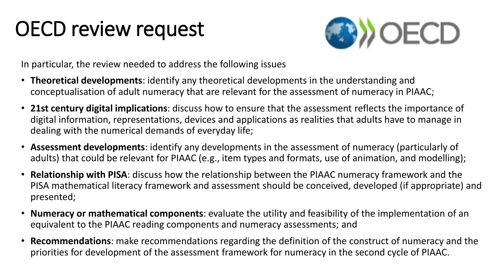### OECD review request



In particular, the review needed to address the following issues

- **Theoretical developments**: identify any theoretical developments in the understanding and conceptualisation of adult numeracy that are relevant for the assessment of numeracy in PIAAC;
- **21st century digital implications**: discuss how to ensure that the assessment reflects the importance of digital information, representations, devices and applications as realities that adults have to manage in dealing with the numerical demands of everyday life;
- **Assessment developments**: identify any developments in the assessment of numeracy (particularly of adults) that could be relevant for PIAAC (e.g., item types and formats, use of animation, and modelling);
- **Relationship with PISA**: discuss how the relationship between the PIAAC numeracy framework and the PISA mathematical literacy framework and assessment should be conceived, developed (if appropriate) and presented;
- **Numeracy or mathematical components**: evaluate the utility and feasibility of the implementation of an equivalent to the PIAAC reading components and numeracy assessments; and
- **Recommendations**: make recommendations regarding the definition of the construct of numeracy and the priorities for development of the assessment framework for numeracy in the second cycle of PIAAC.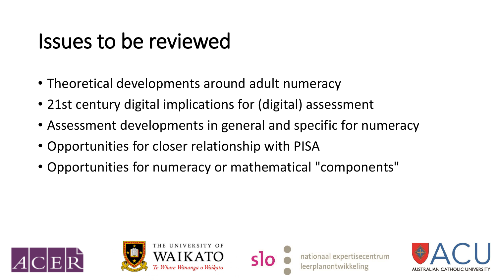#### Issues to be reviewed

- Theoretical developments around adult numeracy
- 21st century digital implications for (digital) assessment
- Assessment developments in general and specific for numeracy
- Opportunities for closer relationship with PISA
- Opportunities for numeracy or mathematical "components"





THE UNIVERSITY OF



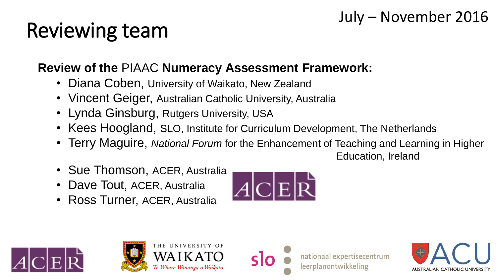#### July – November 2016

## Reviewing team

#### **Review of the** PIAAC **Numeracy Assessment Framework:**

- Diana Coben, University of Waikato, New Zealand
- Vincent Geiger, Australian Catholic University, Australia
- Lynda Ginsburg, Rutgers University, USA
- Kees Hoogland, SLO, Institute for Curriculum Development, The Netherlands
- Terry Maguire, *National Forum* for the Enhancement of Teaching and Learning in Higher

Education, Ireland

- Sue Thomson, ACER, Australia
- Dave Tout, ACER, Australia
- Ross Turner, ACER, Australia







THE UNIVERSITY OF Whare Wānanga o Waikato



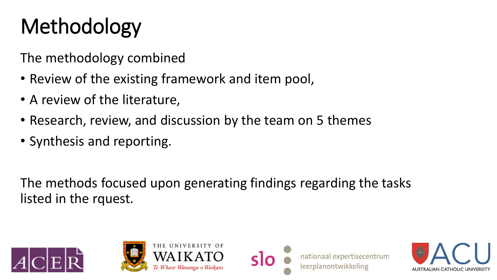## Methodology

The methodology combined

- Review of the existing framework and item pool,
- A review of the literature,
- Research, review, and discussion by the team on 5 themes
- Synthesis and reporting.

The methods focused upon generating findings regarding the tasks listed in the rquest.





THE UNIVERSITY OF Te Whare Wānanga o Waikato



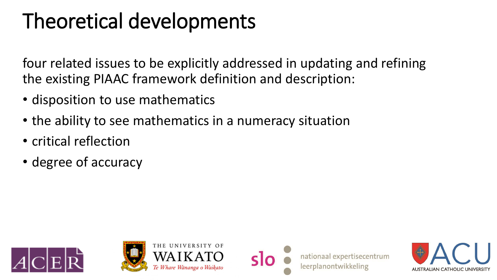### Theoretical developments

four related issues to be explicitly addressed in updating and refining the existing PIAAC framework definition and description:

- disposition to use mathematics
- the ability to see mathematics in a numeracy situation
- critical reflection
- degree of accuracy









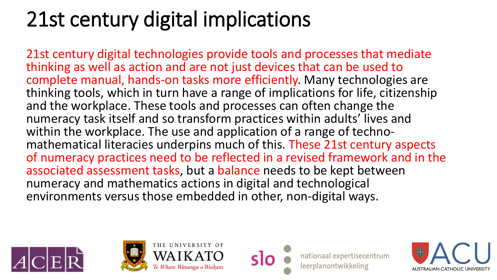## 21st century digital implications

21st century digital technologies provide tools and processes that mediate thinking as well as action and are not just devices that can be used to complete manual, hands-on tasks more efficiently. Many technologies are thinking tools, which in turn have a range of implications for life, citizenship and the workplace. These tools and processes can often change the numeracy task itself and so transform practices within adults' lives and within the workplace. The use and application of a range of technomathematical literacies underpins much of this. These 21st century aspects of numeracy practices need to be reflected in a revised framework and in the associated assessment tasks, but a balance needs to be kept between numeracy and mathematics actions in digital and technological environments versus those embedded in other, non-digital ways.





THE UNIVERSITY OF Te Whare Wānanga o Waikato



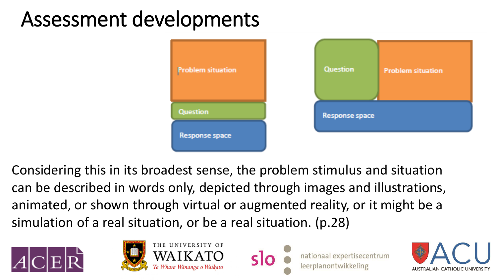#### Assessment developments



Considering this in its broadest sense, the problem stimulus and situation can be described in words only, depicted through images and illustrations, animated, or shown through virtual or augmented reality, or it might be a simulation of a real situation, or be a real situation. (p.28)





THE UNIVERSITY OF Ie Whare Wānanga o Waikato



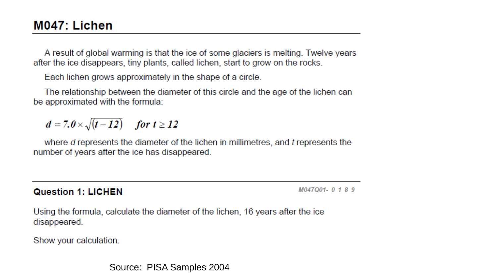A result of global warming is that the ice of some glaciers is melting. Twelve years after the ice disappears, tiny plants, called lichen, start to grow on the rocks.

Each lichen grows approximately in the shape of a circle.

The relationship between the diameter of this circle and the age of the lichen can be approximated with the formula:

 $d = 7.0 \times \sqrt{(t-12)}$  for  $t \ge 12$ 

where d represents the diameter of the lichen in millimetres, and t represents the number of years after the ice has disappeared.

**Question 1: LICHEN** 

M047Q01-0189

Using the formula, calculate the diameter of the lichen, 16 years after the ice disappeared.

Show your calculation.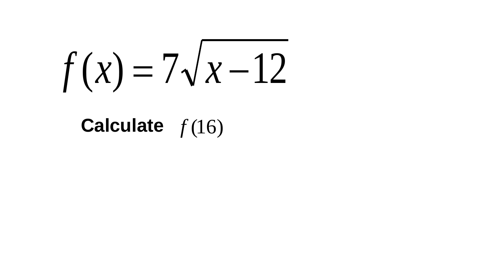$f(x) = 7\sqrt{x-12}$ 

#### Calculate  $f(16)$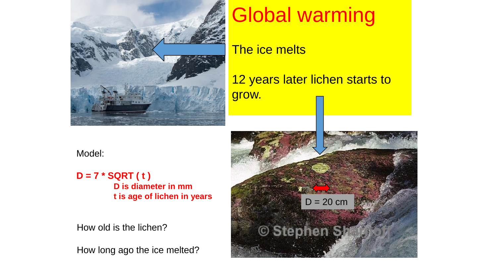

#### Global warming

The ice melts

12 years later lichen starts to grow.

Model:

**D = 7 \* SQRT ( t ) D is diameter in mm t is age of lichen in years**

How old is the lichen?

How long ago the ice melted?

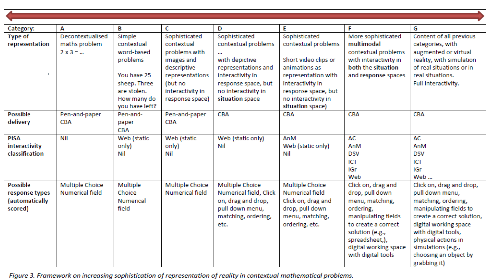| Category:                                                      | А                                                    | В                                                                                            | с                                                                                                                           | D                                                                                                                                                               | E                                                                                                                                               | F                                                                                                                                                                                                       | G                                                                                                                                                                                                                                                                |
|----------------------------------------------------------------|------------------------------------------------------|----------------------------------------------------------------------------------------------|-----------------------------------------------------------------------------------------------------------------------------|-----------------------------------------------------------------------------------------------------------------------------------------------------------------|-------------------------------------------------------------------------------------------------------------------------------------------------|---------------------------------------------------------------------------------------------------------------------------------------------------------------------------------------------------------|------------------------------------------------------------------------------------------------------------------------------------------------------------------------------------------------------------------------------------------------------------------|
| <b>Type of</b><br>representation                               | Decontextualised<br>maths problem<br>$2 \times 3 = $ | Simple<br>contextual<br>word-based<br>problems<br>You have 25<br>sheep. Three<br>are stolen. | Sophisticated<br>contextual<br>problems with<br>images and<br>descriptive<br>representations<br>(but no<br>interactivity in | Sophisticated<br>contextual problems<br>$\mathbf{u}$<br>with depictive<br>representations and<br>interactivity in<br>response space, but<br>no interactivity in | Sophisticated<br>contextual problems<br>Short video clips or<br>animations as<br>representation with<br>interactivity in<br>response space, but | More sophisticated<br>multimodal<br>contextual problems<br>with interactivity in<br>both the situation<br>and response spaces                                                                           | Content of all previous<br>categories, with<br>augmented or virtual<br>reality, with simulation<br>of real situations or in<br>real situations.<br>Full interactivity.                                                                                           |
|                                                                |                                                      | How many do<br>you have left?                                                                | response space)                                                                                                             | situation space                                                                                                                                                 | no interactivity in<br>situation space)                                                                                                         |                                                                                                                                                                                                         |                                                                                                                                                                                                                                                                  |
| <b>Possible</b><br>delivery                                    | Pen-and-paper<br><b>CBA</b>                          | Pen-and-<br>paper<br><b>CBA</b>                                                              | Pen-and-paper<br><b>CBA</b>                                                                                                 | <b>CBA</b>                                                                                                                                                      | <b>CBA</b>                                                                                                                                      | <b>CBA</b>                                                                                                                                                                                              | <b>CBA</b>                                                                                                                                                                                                                                                       |
| <b>PISA</b><br>interactivity<br>classification                 | Nil                                                  | Web (static<br>only)<br>Nil                                                                  | Web (static<br>only)<br>Nil                                                                                                 | Web (static only)<br>Nil                                                                                                                                        | AnM<br>Web (static only)<br>Nil                                                                                                                 | AC<br>AnM<br><b>DSV</b><br>ICT<br>IGr<br>Web                                                                                                                                                            | AC<br>AnM<br><b>DSV</b><br>ICT<br>IGr<br>Web                                                                                                                                                                                                                     |
| <b>Possible</b><br>response types<br>(automatically<br>scored) | Multiple Choice<br><b>Numerical field</b>            | Multiple<br>Choice<br><b>Numerical</b><br>field                                              | Multiple Choice<br><b>Numerical field</b>                                                                                   | Multiple Choice<br>Numerical field, Click<br>on, drag and drop,<br>pull down menu,<br>matching, ordering,<br>etc.                                               | Multiple Choice<br><b>Numerical field</b><br>Click on, drag and<br>drop, pull down<br>menu, matching,<br>ordering, etc.                         | Click on, drag and<br>drop, pull down<br>menu, matching,<br>ordering,<br>manipulating fields<br>to create a correct<br>solution (e.g.,<br>spreadsheet,),<br>digital working space<br>with digital tools | Click on, drag and drop,<br>pull down menu,<br>matching, ordering,<br>manipulating fields to<br>create a correct solution,<br>digital working space<br>with digital tools,<br>physical actions in<br>simulations (e.g.,<br>choosing an object by<br>grabbing it) |

Figure 3. Framework on increasing sophistication of representation of reality in contextual mathematical problems.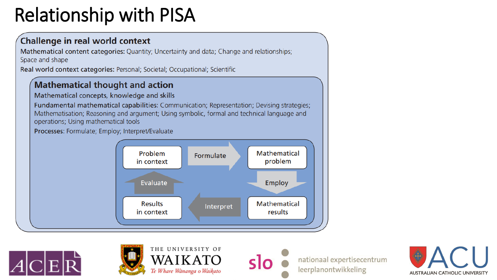#### **Relationship with PISA**

#### Challenge in real world context

Mathematical content categories: Quantity; Uncertainty and data; Change and relationships; Space and shape

Real world context categories: Personal; Societal; Occupational; Scientific

#### **Mathematical thought and action**

Mathematical concepts, knowledge and skills

Fundamental mathematical capabilities: Communication; Representation; Devising strategies; Mathematisation; Reasoning and argument; Using symbolic, formal and technical language and operations; Using mathematical tools

Processes: Formulate; Employ; Interpret/Evaluate







THE UNIVERSITY OF Te Whare Wānanga o Waikato